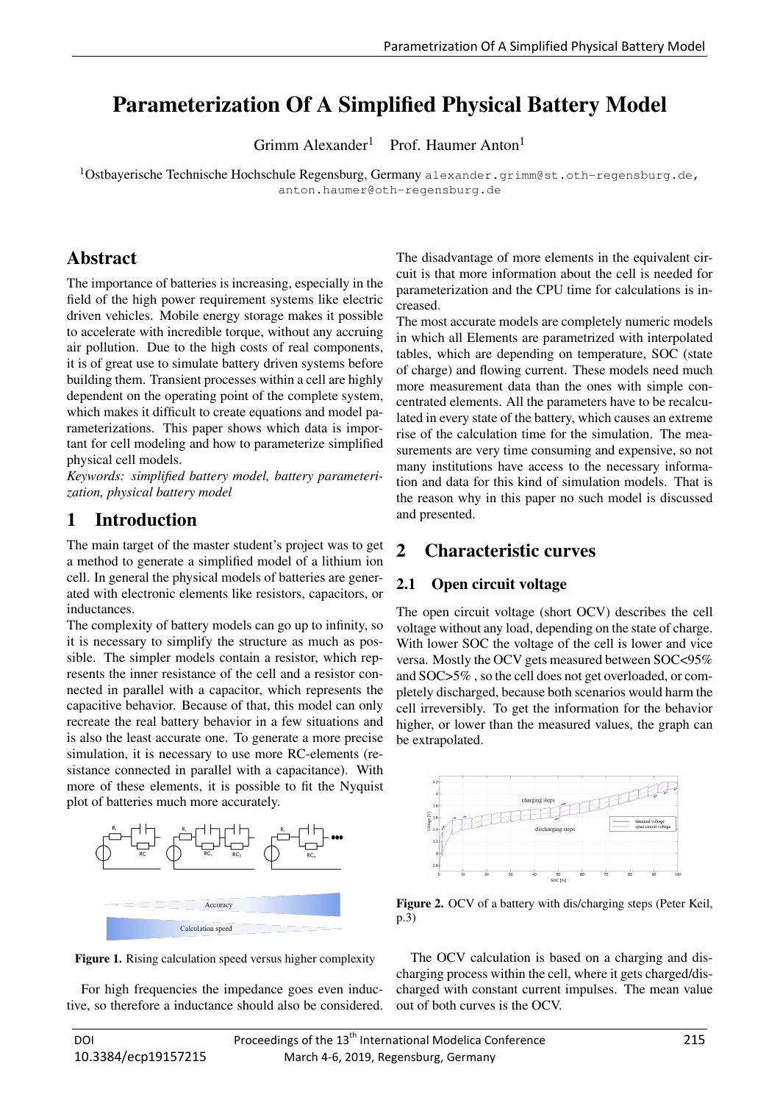# Parameterization Of A Simplified Physical Battery Model

Grimm Alexander<sup>1</sup> Prof. Haumer Anton<sup>1</sup>

1Ostbayerische Technische Hochschule Regensburg, Germany alexander.grimm@st.oth-regensburg.de, anton.haumer@oth-regensburg.de

## **Abstract**

The importance of batteries is increasing, especially in the field of the high power requirement systems like electric driven vehicles. Mobile energy storage makes it possible to accelerate with incredible torque, without any accruing air pollution. Due to the high costs of real components, it is of great use to simulate battery driven systems before building them. Transient processes within a cell are highly dependent on the operating point of the complete system, which makes it difficult to create equations and model parameterizations. This paper shows which data is important for cell modeling and how to parameterize simplified physical cell models.

*Keywords: simplified battery model, battery parameterization, physical battery model*

## 1 Introduction

The main target of the master student's project was to get a method to generate a simplified model of a lithium ion cell. In general the physical models of batteries are generated with electronic elements like resistors, capacitors, or inductances.

The complexity of battery models can go up to infinity, so it is necessary to simplify the structure as much as possible. The simpler models contain a resistor, which represents the inner resistance of the cell and a resistor connected in parallel with a capacitor, which represents the capacitive behavior. Because of that, this model can only recreate the real battery behavior in a few situations and is also the least accurate one. To generate a more precise simulation, it is necessary to use more RC-elements (resistance connected in parallel with a capacitance). With more of these elements, it is possible to fit the Nyquist plot of batteries much more accurately.





For high frequencies the impedance goes even inductive, so therefore a inductance should also be considered.

The disadvantage of more elements in the equivalent circuit is that more information about the cell is needed for parameterization and the CPU time for calculations is increased.

The most accurate models are completely numeric models in which all Elements are parametrized with interpolated tables, which are depending on temperature, SOC (state of charge) and flowing current. These models need much more measurement data than the ones with simple concentrated elements. All the parameters have to be recalculated in every state of the battery, which causes an extreme rise of the calculation time for the simulation. The measurements are very time consuming and expensive, so not many institutions have access to the necessary information and data for this kind of simulation models. That is the reason why in this paper no such model is discussed and presented.

### 2 Characteristic curves

#### 2.1 Open circuit voltage

The open circuit voltage (short OCV) describes the cell voltage without any load, depending on the state of charge. With lower SOC the voltage of the cell is lower and vice versa. Mostly the OCV gets measured between SOC<95% and SOC>5% , so the cell does not get overloaded, or completely discharged, because both scenarios would harm the cell irreversibly. To get the information for the behavior higher, or lower than the measured values, the graph can be extrapolated.



Figure 2. OCV of a battery with dis/charging steps (Peter Keil, p.3)

The OCV calculation is based on a charging and discharging process within the cell, where it gets charged/discharged with constant current impulses. The mean value out of both curves is the OCV.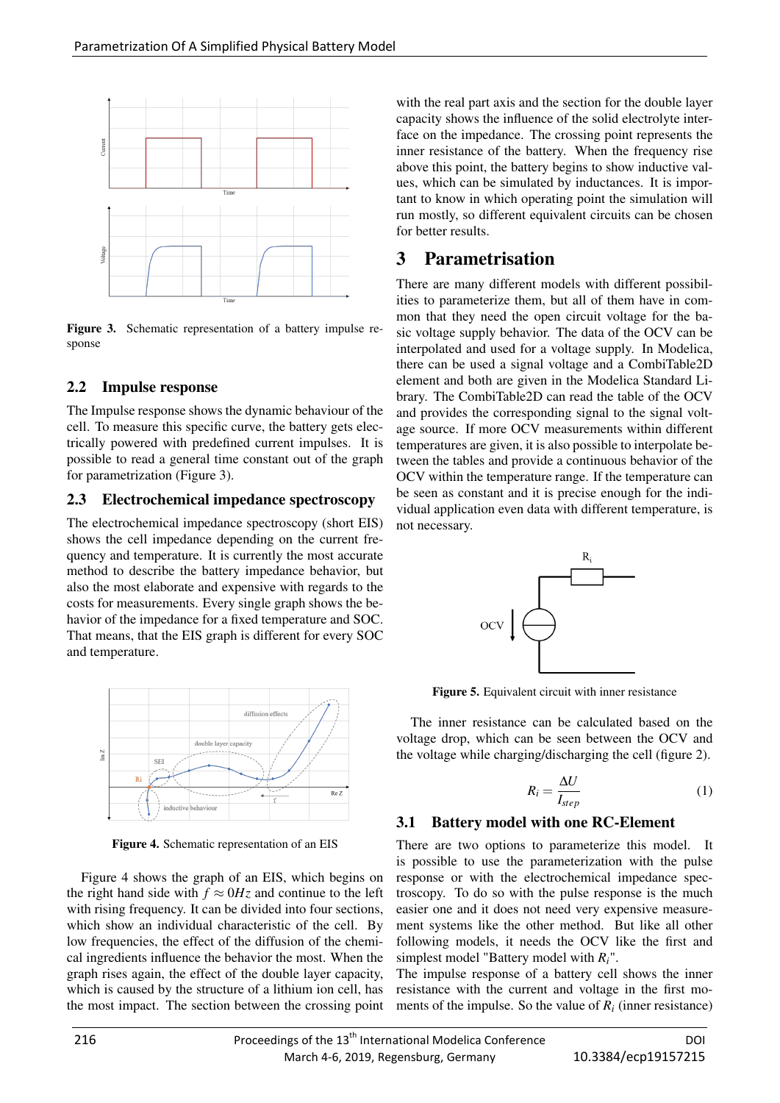

Figure 3. Schematic representation of a battery impulse response

#### 2.2 Impulse response

The Impulse response shows the dynamic behaviour of the cell. To measure this specific curve, the battery gets electrically powered with predefined current impulses. It is possible to read a general time constant out of the graph for parametrization (Figure 3).

#### 2.3 Electrochemical impedance spectroscopy

The electrochemical impedance spectroscopy (short EIS) shows the cell impedance depending on the current frequency and temperature. It is currently the most accurate method to describe the battery impedance behavior, but also the most elaborate and expensive with regards to the costs for measurements. Every single graph shows the behavior of the impedance for a fixed temperature and SOC. That means, that the EIS graph is different for every SOC and temperature.



Figure 4. Schematic representation of an EIS

Figure 4 shows the graph of an EIS, which begins on the right hand side with  $f \approx 0Hz$  and continue to the left with rising frequency. It can be divided into four sections, which show an individual characteristic of the cell. By low frequencies, the effect of the diffusion of the chemical ingredients influence the behavior the most. When the graph rises again, the effect of the double layer capacity, which is caused by the structure of a lithium ion cell, has the most impact. The section between the crossing point

with the real part axis and the section for the double layer capacity shows the influence of the solid electrolyte interface on the impedance. The crossing point represents the inner resistance of the battery. When the frequency rise above this point, the battery begins to show inductive values, which can be simulated by inductances. It is important to know in which operating point the simulation will run mostly, so different equivalent circuits can be chosen for better results.

## 3 Parametrisation

There are many different models with different possibilities to parameterize them, but all of them have in common that they need the open circuit voltage for the basic voltage supply behavior. The data of the OCV can be interpolated and used for a voltage supply. In Modelica, there can be used a signal voltage and a CombiTable2D element and both are given in the Modelica Standard Library. The CombiTable2D can read the table of the OCV and provides the corresponding signal to the signal voltage source. If more OCV measurements within different temperatures are given, it is also possible to interpolate between the tables and provide a continuous behavior of the OCV within the temperature range. If the temperature can be seen as constant and it is precise enough for the individual application even data with different temperature, is not necessary.



Figure 5. Equivalent circuit with inner resistance

The inner resistance can be calculated based on the voltage drop, which can be seen between the OCV and the voltage while charging/discharging the cell (figure 2).

$$
R_i = \frac{\Delta U}{I_{step}}\tag{1}
$$

#### 3.1 Battery model with one RC-Element

There are two options to parameterize this model. It is possible to use the parameterization with the pulse response or with the electrochemical impedance spectroscopy. To do so with the pulse response is the much easier one and it does not need very expensive measurement systems like the other method. But like all other following models, it needs the OCV like the first and simplest model "Battery model with *Ri*".

The impulse response of a battery cell shows the inner resistance with the current and voltage in the first moments of the impulse. So the value of  $R_i$  (inner resistance)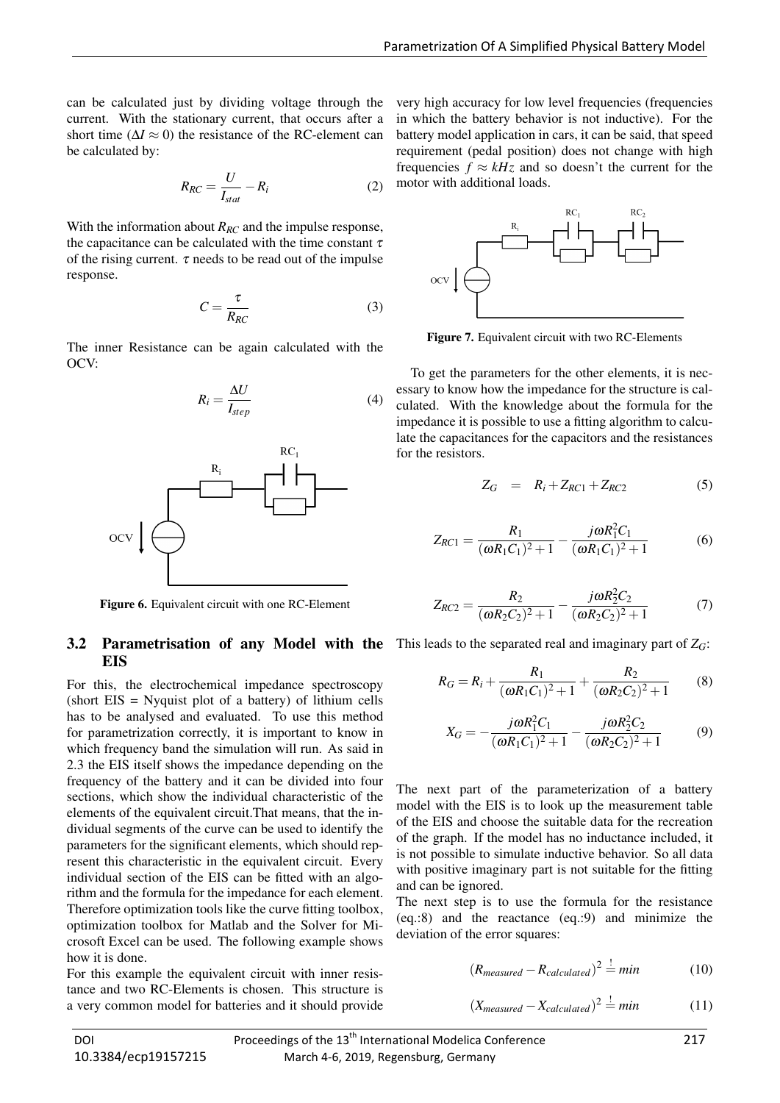can be calculated just by dividing voltage through the current. With the stationary current, that occurs after a short time ( $\Delta I \approx 0$ ) the resistance of the RC-element can be calculated by:

$$
R_{RC} = \frac{U}{I_{stat}} - R_i \tag{2}
$$

With the information about *R<sub>RC</sub>* and the impulse response, the capacitance can be calculated with the time constant  $\tau$ of the rising current.  $\tau$  needs to be read out of the impulse response.

$$
C = \frac{\tau}{R_{RC}}
$$
 (3)

The inner Resistance can be again calculated with the OCV:

$$
R_i = \frac{\Delta U}{I_{step}}\tag{4}
$$



Figure 6. Equivalent circuit with one RC-Element

#### 3.2 Parametrisation of any Model with the This leads to the separated real and imaginary part of *ZG*: **EIS**

For this, the electrochemical impedance spectroscopy (short EIS = Nyquist plot of a battery) of lithium cells has to be analysed and evaluated. To use this method for parametrization correctly, it is important to know in which frequency band the simulation will run. As said in 2.3 the EIS itself shows the impedance depending on the frequency of the battery and it can be divided into four sections, which show the individual characteristic of the elements of the equivalent circuit.That means, that the individual segments of the curve can be used to identify the parameters for the significant elements, which should represent this characteristic in the equivalent circuit. Every individual section of the EIS can be fitted with an algorithm and the formula for the impedance for each element. Therefore optimization tools like the curve fitting toolbox, optimization toolbox for Matlab and the Solver for Microsoft Excel can be used. The following example shows how it is done.

For this example the equivalent circuit with inner resistance and two RC-Elements is chosen. This structure is a very common model for batteries and it should provide

very high accuracy for low level frequencies (frequencies in which the battery behavior is not inductive). For the battery model application in cars, it can be said, that speed requirement (pedal position) does not change with high frequencies  $f \approx kHz$  and so doesn't the current for the motor with additional loads.



Figure 7. Equivalent circuit with two RC-Elements

To get the parameters for the other elements, it is necessary to know how the impedance for the structure is calculated. With the knowledge about the formula for the impedance it is possible to use a fitting algorithm to calculate the capacitances for the capacitors and the resistances for the resistors.

$$
Z_G = R_i + Z_{RC1} + Z_{RC2} \tag{5}
$$

$$
Z_{RC1} = \frac{R_1}{(\omega R_1 C_1)^2 + 1} - \frac{j \omega R_1^2 C_1}{(\omega R_1 C_1)^2 + 1}
$$
(6)

$$
Z_{RC2} = \frac{R_2}{(\omega R_2 C_2)^2 + 1} - \frac{j \omega R_2^2 C_2}{(\omega R_2 C_2)^2 + 1}
$$
(7)

$$
R_G = R_i + \frac{R_1}{(\omega R_1 C_1)^2 + 1} + \frac{R_2}{(\omega R_2 C_2)^2 + 1}
$$
 (8)

$$
X_G = -\frac{j\omega R_1^2 C_1}{(\omega R_1 C_1)^2 + 1} - \frac{j\omega R_2^2 C_2}{(\omega R_2 C_2)^2 + 1}
$$
(9)

The next part of the parameterization of a battery model with the EIS is to look up the measurement table of the EIS and choose the suitable data for the recreation of the graph. If the model has no inductance included, it is not possible to simulate inductive behavior. So all data with positive imaginary part is not suitable for the fitting and can be ignored.

The next step is to use the formula for the resistance (eq.:8) and the reactance (eq.:9) and minimize the deviation of the error squares:

$$
(R_{measured} - R_{calculated})^2 \stackrel{!}{=} \min \tag{10}
$$

$$
(X_{measured} - X_{calculated})^2 \stackrel{!}{=} \min \tag{11}
$$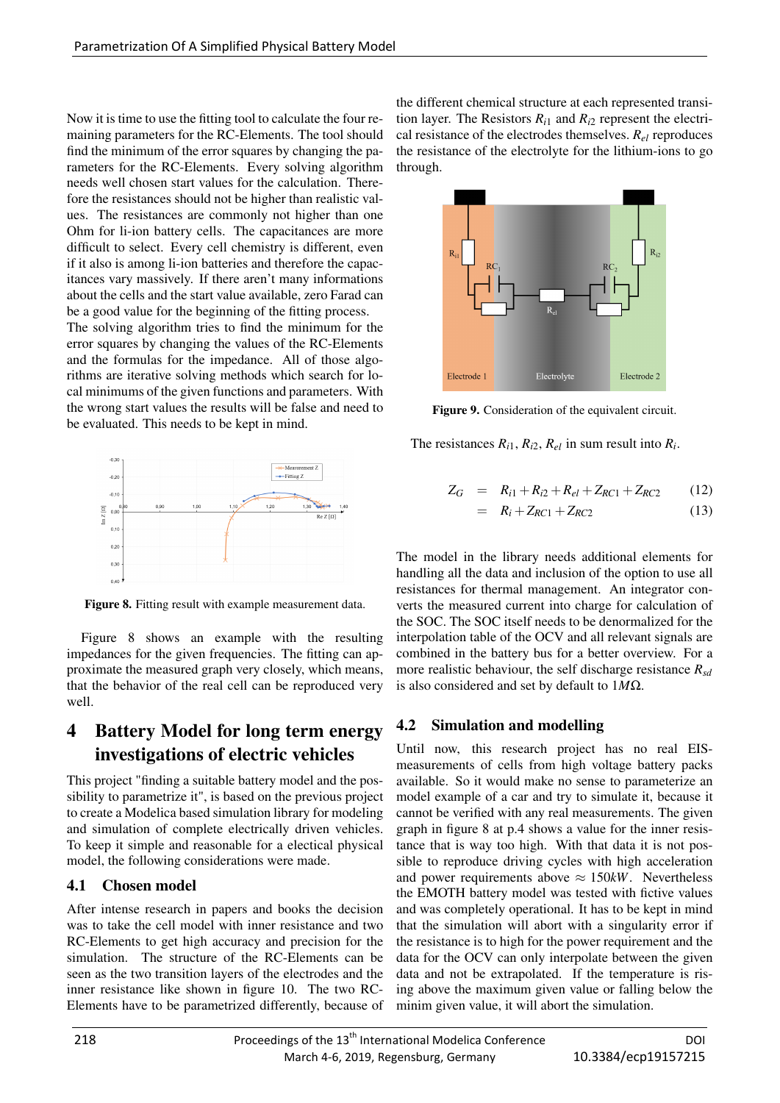Now it is time to use the fitting tool to calculate the four remaining parameters for the RC-Elements. The tool should find the minimum of the error squares by changing the parameters for the RC-Elements. Every solving algorithm needs well chosen start values for the calculation. Therefore the resistances should not be higher than realistic values. The resistances are commonly not higher than one Ohm for li-ion battery cells. The capacitances are more difficult to select. Every cell chemistry is different, even if it also is among li-ion batteries and therefore the capacitances vary massively. If there aren't many informations about the cells and the start value available, zero Farad can be a good value for the beginning of the fitting process.

The solving algorithm tries to find the minimum for the error squares by changing the values of the RC-Elements and the formulas for the impedance. All of those algorithms are iterative solving methods which search for local minimums of the given functions and parameters. With the wrong start values the results will be false and need to be evaluated. This needs to be kept in mind.



Figure 8. Fitting result with example measurement data.

Figure 8 shows an example with the resulting impedances for the given frequencies. The fitting can approximate the measured graph very closely, which means, that the behavior of the real cell can be reproduced very well.

## 4 Battery Model for long term energy investigations of electric vehicles

This project "finding a suitable battery model and the possibility to parametrize it", is based on the previous project to create a Modelica based simulation library for modeling and simulation of complete electrically driven vehicles. To keep it simple and reasonable for a electical physical model, the following considerations were made.

### 4.1 Chosen model

After intense research in papers and books the decision was to take the cell model with inner resistance and two RC-Elements to get high accuracy and precision for the simulation. The structure of the RC-Elements can be seen as the two transition layers of the electrodes and the inner resistance like shown in figure 10. The two RC-Elements have to be parametrized differently, because of

the different chemical structure at each represented transition layer. The Resistors  $R_{i1}$  and  $R_{i2}$  represent the electrical resistance of the electrodes themselves. *Rel* reproduces the resistance of the electrolyte for the lithium-ions to go through.



Figure 9. Consideration of the equivalent circuit.

The resistances  $R_{i1}$ ,  $R_{i2}$ ,  $R_{el}$  in sum result into  $R_i$ .

$$
Z_G = R_{i1} + R_{i2} + R_{el} + Z_{RC1} + Z_{RC2}
$$
 (12)

$$
= R_i + Z_{RC1} + Z_{RC2} \tag{13}
$$

The model in the library needs additional elements for handling all the data and inclusion of the option to use all resistances for thermal management. An integrator converts the measured current into charge for calculation of the SOC. The SOC itself needs to be denormalized for the interpolation table of the OCV and all relevant signals are combined in the battery bus for a better overview. For a more realistic behaviour, the self discharge resistance *Rsd* is also considered and set by default to 1*M*Ω.

## 4.2 Simulation and modelling

Until now, this research project has no real EISmeasurements of cells from high voltage battery packs available. So it would make no sense to parameterize an model example of a car and try to simulate it, because it cannot be verified with any real measurements. The given graph in figure 8 at p.4 shows a value for the inner resistance that is way too high. With that data it is not possible to reproduce driving cycles with high acceleration and power requirements above  $\approx 150$ kW. Nevertheless the EMOTH battery model was tested with fictive values and was completely operational. It has to be kept in mind that the simulation will abort with a singularity error if the resistance is to high for the power requirement and the data for the OCV can only interpolate between the given data and not be extrapolated. If the temperature is rising above the maximum given value or falling below the minim given value, it will abort the simulation.